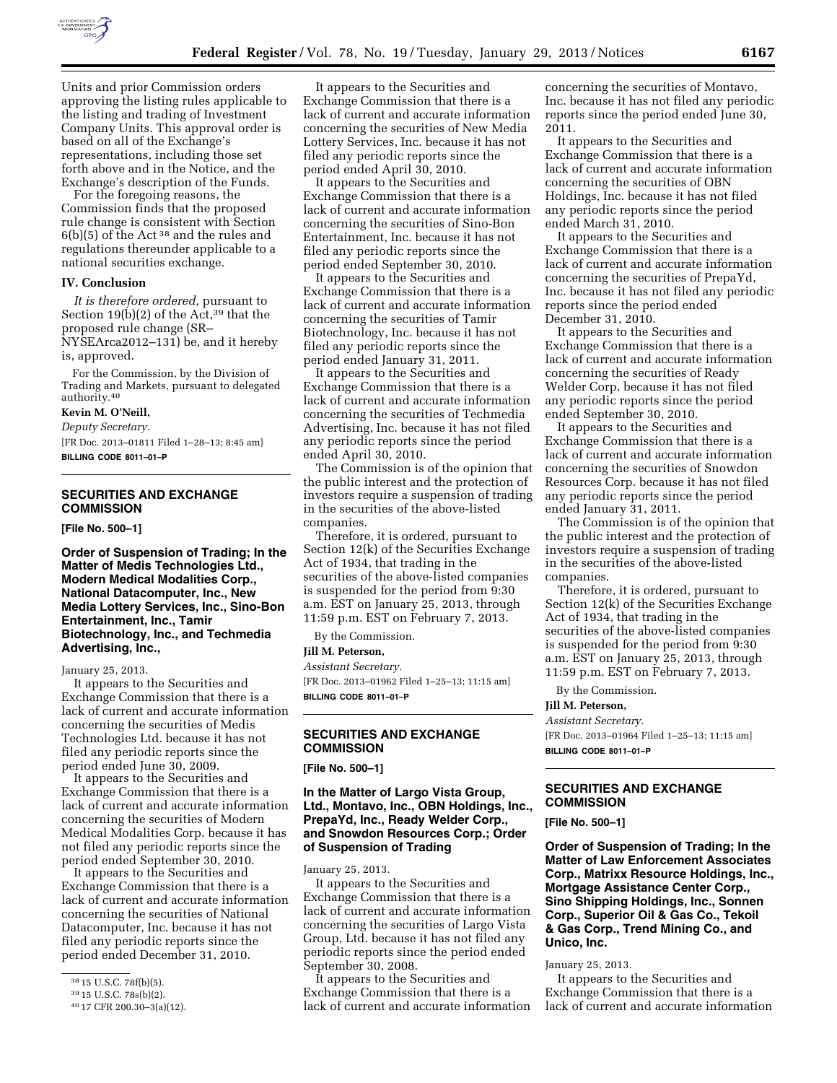

Units and prior Commission orders approving the listing rules applicable to the listing and trading of Investment Company Units. This approval order is based on all of the Exchange's representations, including those set forth above and in the Notice, and the Exchange's description of the Funds.

For the foregoing reasons, the Commission finds that the proposed rule change is consistent with Section  $6(b)(5)$  of the Act<sup>38</sup> and the rules and regulations thereunder applicable to a national securities exchange.

#### **IV. Conclusion**

*It is therefore ordered,* pursuant to Section 19 $(b)(2)$  of the Act,<sup>39</sup> that the proposed rule change (SR–

NYSEArca2012–131) be, and it hereby is, approved.

For the Commission, by the Division of Trading and Markets, pursuant to delegated authority.40

# **Kevin M. O'Neill,**

*Deputy Secretary.* 

[FR Doc. 2013–01811 Filed 1–28–13; 8:45 am] **BILLING CODE 8011–01–P** 

## **SECURITIES AND EXCHANGE COMMISSION**

**[File No. 500–1]** 

**Order of Suspension of Trading; In the Matter of Medis Technologies Ltd., Modern Medical Modalities Corp., National Datacomputer, Inc., New Media Lottery Services, Inc., Sino-Bon Entertainment, Inc., Tamir Biotechnology, Inc., and Techmedia Advertising, Inc.,** 

#### January 25, 2013.

It appears to the Securities and Exchange Commission that there is a lack of current and accurate information concerning the securities of Medis Technologies Ltd. because it has not filed any periodic reports since the period ended June 30, 2009.

It appears to the Securities and Exchange Commission that there is a lack of current and accurate information concerning the securities of Modern Medical Modalities Corp. because it has not filed any periodic reports since the period ended September 30, 2010.

It appears to the Securities and Exchange Commission that there is a lack of current and accurate information concerning the securities of National Datacomputer, Inc. because it has not filed any periodic reports since the period ended December 31, 2010.

It appears to the Securities and Exchange Commission that there is a lack of current and accurate information concerning the securities of New Media Lottery Services, Inc. because it has not filed any periodic reports since the period ended April 30, 2010.

It appears to the Securities and Exchange Commission that there is a lack of current and accurate information concerning the securities of Sino-Bon Entertainment, Inc. because it has not filed any periodic reports since the period ended September 30, 2010.

It appears to the Securities and Exchange Commission that there is a lack of current and accurate information concerning the securities of Tamir Biotechnology, Inc. because it has not filed any periodic reports since the period ended January 31, 2011.

It appears to the Securities and Exchange Commission that there is a lack of current and accurate information concerning the securities of Techmedia Advertising, Inc. because it has not filed any periodic reports since the period ended April 30, 2010.

The Commission is of the opinion that the public interest and the protection of investors require a suspension of trading in the securities of the above-listed companies.

Therefore, it is ordered, pursuant to Section 12(k) of the Securities Exchange Act of 1934, that trading in the securities of the above-listed companies is suspended for the period from 9:30 a.m. EST on January 25, 2013, through 11:59 p.m. EST on February 7, 2013.

By the Commission.

## **Jill M. Peterson,**

*Assistant Secretary.*  [FR Doc. 2013–01962 Filed 1–25–13; 11:15 am] **BILLING CODE 8011–01–P** 

# **SECURITIES AND EXCHANGE COMMISSION**

**[File No. 500–1]** 

### **In the Matter of Largo Vista Group, Ltd., Montavo, Inc., OBN Holdings, Inc., PrepaYd, Inc., Ready Welder Corp., and Snowdon Resources Corp.; Order of Suspension of Trading**

January 25, 2013.

It appears to the Securities and Exchange Commission that there is a lack of current and accurate information concerning the securities of Largo Vista Group, Ltd. because it has not filed any periodic reports since the period ended September 30, 2008.

It appears to the Securities and Exchange Commission that there is a lack of current and accurate information

concerning the securities of Montavo, Inc. because it has not filed any periodic reports since the period ended June 30, 2011.

It appears to the Securities and Exchange Commission that there is a lack of current and accurate information concerning the securities of OBN Holdings, Inc. because it has not filed any periodic reports since the period ended March 31, 2010.

It appears to the Securities and Exchange Commission that there is a lack of current and accurate information concerning the securities of PrepaYd, Inc. because it has not filed any periodic reports since the period ended December 31, 2010.

It appears to the Securities and Exchange Commission that there is a lack of current and accurate information concerning the securities of Ready Welder Corp. because it has not filed any periodic reports since the period ended September 30, 2010.

It appears to the Securities and Exchange Commission that there is a lack of current and accurate information concerning the securities of Snowdon Resources Corp. because it has not filed any periodic reports since the period ended January 31, 2011.

The Commission is of the opinion that the public interest and the protection of investors require a suspension of trading in the securities of the above-listed companies.

Therefore, it is ordered, pursuant to Section 12(k) of the Securities Exchange Act of 1934, that trading in the securities of the above-listed companies is suspended for the period from 9:30 a.m. EST on January 25, 2013, through 11:59 p.m. EST on February 7, 2013.

By the Commission.

#### **Jill M. Peterson,**

*Assistant Secretary.* 

[FR Doc. 2013–01964 Filed 1–25–13; 11:15 am] **BILLING CODE 8011–01–P** 

# **SECURITIES AND EXCHANGE COMMISSION**

#### **[File No. 500–1]**

**Order of Suspension of Trading; In the Matter of Law Enforcement Associates Corp., Matrixx Resource Holdings, Inc., Mortgage Assistance Center Corp., Sino Shipping Holdings, Inc., Sonnen Corp., Superior Oil & Gas Co., Tekoil & Gas Corp., Trend Mining Co., and Unico, Inc.** 

January 25, 2013.

It appears to the Securities and Exchange Commission that there is a lack of current and accurate information

<sup>38</sup> 15 U.S.C. 78f(b)(5).

<sup>39</sup> 15 U.S.C. 78s(b)(2).

<sup>40</sup> 17 CFR 200.30–3(a)(12).